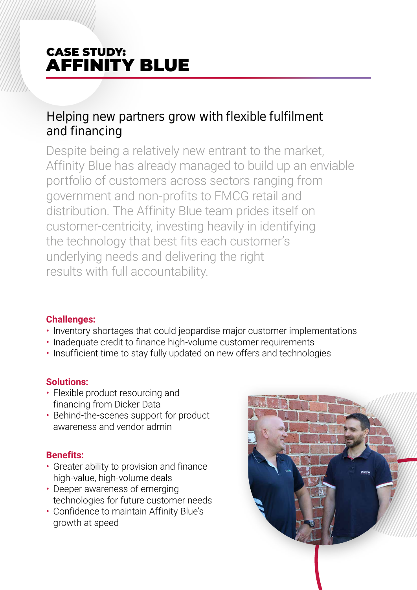# CASE STUDY: AFFINITY BLUE

## Helping new partners grow with flexible fulfilment and financing

Despite being a relatively new entrant to the market, Affinity Blue has already managed to build up an enviable portfolio of customers across sectors ranging from government and non-profits to FMCG retail and distribution. The Affinity Blue team prides itself on customer-centricity, investing heavily in identifying the technology that best fits each customer's underlying needs and delivering the right results with full accountability.

### **Challenges:**

- Inventory shortages that could jeopardise major customer implementations
- Inadequate credit to finance high-volume customer requirements
- Insufficient time to stay fully updated on new offers and technologies

### **Solutions:**

- Flexible product resourcing and financing from Dicker Data
- Behind-the-scenes support for product awareness and vendor admin

### **Benefits:**

- Greater ability to provision and finance high-value, high-volume deals
- Deeper awareness of emerging technologies for future customer needs
- Confidence to maintain Affinity Blue's growth at speed

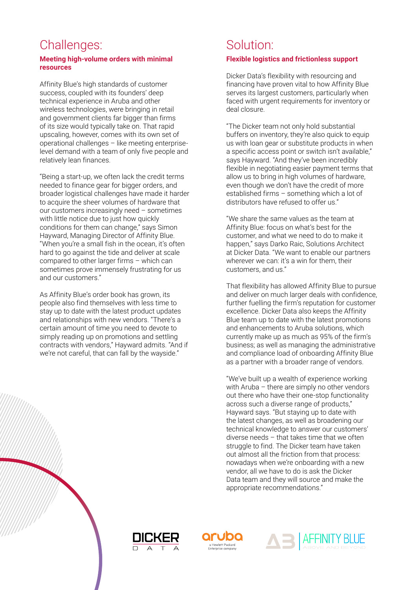## Challenges:

#### **Meeting high-volume orders with minimal resources**

Affinity Blue's high standards of customer success, coupled with its founders' deep technical experience in Aruba and other wireless technologies, were bringing in retail and government clients far bigger than firms of its size would typically take on. That rapid upscaling, however, comes with its own set of operational challenges – like meeting enterpriselevel demand with a team of only five people and relatively lean finances.

"Being a start-up, we often lack the credit terms needed to finance gear for bigger orders, and broader logistical challenges have made it harder to acquire the sheer volumes of hardware that our customers increasingly need – sometimes with little notice due to just how quickly conditions for them can change," says Simon Hayward, Managing Director of Affinity Blue. "When you're a small fish in the ocean, it's often hard to go against the tide and deliver at scale compared to other larger firms – which can sometimes prove immensely frustrating for us and our customers."

As Affinity Blue's order book has grown, its people also find themselves with less time to stay up to date with the latest product updates and relationships with new vendors. "There's a certain amount of time you need to devote to simply reading up on promotions and settling contracts with vendors," Hayward admits. "And if we're not careful, that can fall by the wayside."

## Solution:

#### **Flexible logistics and frictionless support**

Dicker Data's flexibility with resourcing and financing have proven vital to how Affinity Blue serves its largest customers, particularly when faced with urgent requirements for inventory or deal closure.

"The Dicker team not only hold substantial buffers on inventory, they're also quick to equip us with loan gear or substitute products in when a specific access point or switch isn't available," says Hayward. "And they've been incredibly flexible in negotiating easier payment terms that allow us to bring in high volumes of hardware, even though we don't have the credit of more established firms – something which a lot of distributors have refused to offer us."

"We share the same values as the team at Affinity Blue: focus on what's best for the customer, and what we need to do to make it happen," says Darko Raic, Solutions Architect at Dicker Data. "We want to enable our partners wherever we can: it's a win for them, their customers, and us."

That flexibility has allowed Affinity Blue to pursue and deliver on much larger deals with confidence, further fuelling the firm's reputation for customer excellence. Dicker Data also keeps the Affinity Blue team up to date with the latest promotions and enhancements to Aruba solutions, which currently make up as much as 95% of the firm's business; as well as managing the administrative and compliance load of onboarding Affinity Blue as a partner with a broader range of vendors.

"We've built up a wealth of experience working with Aruba – there are simply no other vendors out there who have their one-stop functionality across such a diverse range of products," Hayward says. "But staying up to date with the latest changes, as well as broadening our technical knowledge to answer our customers' diverse needs – that takes time that we often struggle to find. The Dicker team have taken out almost all the friction from that process: nowadays when we're onboarding with a new vendor, all we have to do is ask the Dicker Data team and they will source and make the appropriate recommendations."